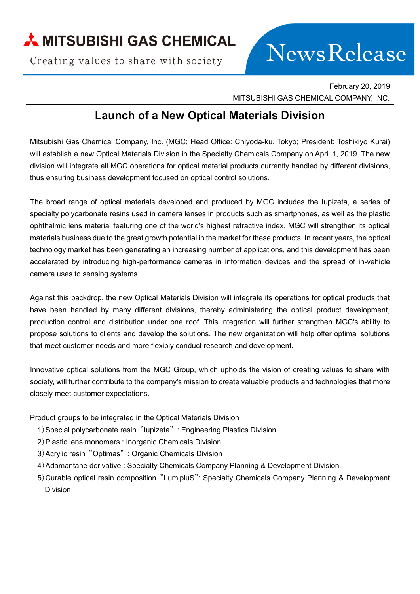## A MITSUBISHI GAS CHEMICAL

Creating values to share with society

# **NewsRelease**

February 20, 2019 MITSUBISHI GAS CHEMICAL COMPANY, INC.

## **Launch of a New Optical Materials Division**

Mitsubishi Gas Chemical Company, Inc. (MGC; Head Office: Chiyoda-ku, Tokyo; President: Toshikiyo Kurai) will establish a new Optical Materials Division in the Specialty Chemicals Company on April 1, 2019. The new division will integrate all MGC operations for optical material products currently handled by different divisions, thus ensuring business development focused on optical control solutions.

The broad range of optical materials developed and produced by MGC includes the Iupizeta, a series of specialty polycarbonate resins used in camera lenses in products such as smartphones, as well as the plastic ophthalmic lens material featuring one of the world's highest refractive index. MGC will strengthen its optical materials business due to the great growth potential in the market for these products. In recent years, the optical technology market has been generating an increasing number of applications, and this development has been accelerated by introducing high-performance cameras in information devices and the spread of in-vehicle camera uses to sensing systems.

Against this backdrop, the new Optical Materials Division will integrate its operations for optical products that have been handled by many different divisions, thereby administering the optical product development, production control and distribution under one roof. This integration will further strengthen MGC's ability to propose solutions to clients and develop the solutions. The new organization will help offer optimal solutions that meet customer needs and more flexibly conduct research and development.

Innovative optical solutions from the MGC Group, which upholds the vision of creating values to share with society, will further contribute to the company's mission to create valuable products and technologies that more closely meet customer expectations.

Product groups to be integrated in the Optical Materials Division

- 1)Special polycarbonate resin "Iupizeta" : Engineering Plastics Division
- 2)Plastic lens monomers : Inorganic Chemicals Division
- 3)Acrylic resin "Optimas" : Organic Chemicals Division
- 4)Adamantane derivative : Specialty Chemicals Company Planning & Development Division
- 5)Curable optical resin composition "LumipluS": Specialty Chemicals Company Planning & Development Division